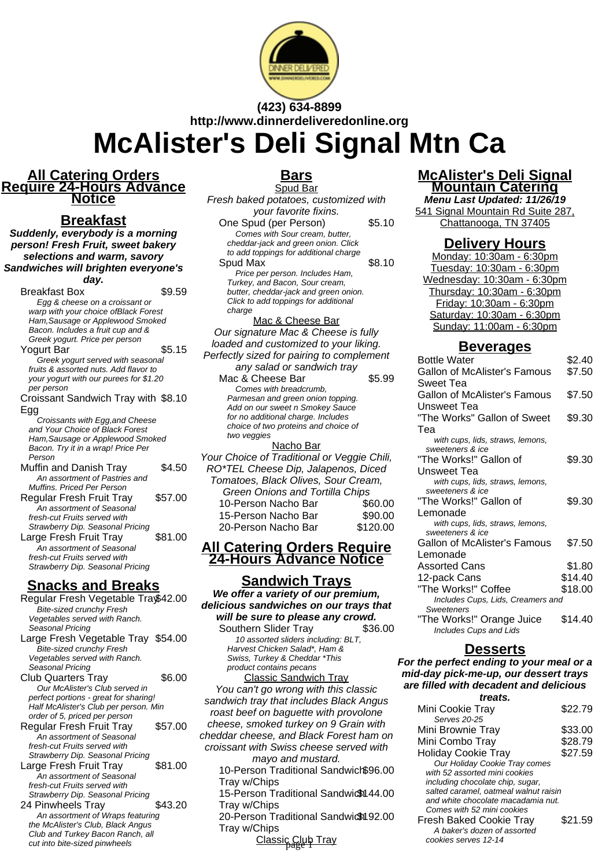

## **(423) 634-8899 http://www.dinnerdeliveredonline.org McAlister's Deli Signal Mtn Ca**

#### **All Catering Orders Require 24-Hours Advance Notice**

## **Breakfast**

**Suddenly, everybody is a morning person! Fresh Fruit, sweet bakery selections and warm, savory Sandwiches will brighten everyone's**

**day.**

Breakfast Box \$9.59 Egg & cheese on a croissant or warp with your choice ofBlack Forest Ham,Sausage or Applewood Smoked Bacon. Includes a fruit cup and & Greek yogurt. Price per person Yogurt Bar \$5.15 Greek yogurt served with seasonal fruits & assorted nuts. Add flavor to your yogurt with our purees for \$1.20 per person Croissant Sandwich Tray with \$8.10

Egg Croissants with Egg,and Cheese and Your Choice of Black Forest Ham,Sausage or Applewood Smoked Bacon. Try it in a wrap! Price Per Person

Muffin and Danish Tray \$4.50 An assortment of Pastries and Muffins. Priced Per Person Regular Fresh Fruit Tray \$57.00

An assortment of Seasonal fresh-cut Fruits served with Strawberry Dip. Seasonal Pricing Large Fresh Fruit Tray \$81.00 An assortment of Seasonal fresh-cut Fruits served with Strawberry Dip. Seasonal Pricing

## **Snacks and Breaks**

Regular Fresh Vegetable Tray\$42.00 Bite-sized crunchy Fresh Vegetables served with Ranch. Seasonal Pricing Large Fresh Vegetable Tray \$54.00 Bite-sized crunchy Fresh Vegetables served with Ranch. Seasonal Pricing Club Quarters Tray \$6.00 Our McAlister's Club served in perfect portions - great for sharing! Half McAlister's Club per person. Min order of 5, priced per person Regular Fresh Fruit Tray \$57.00 An assortment of Seasonal fresh-cut Fruits served with Strawberry Dip. Seasonal Pricing Large Fresh Fruit Tray \$81.00 An assortment of Seasonal fresh-cut Fruits served with Strawberry Dip. Seasonal Pricing 24 Pinwheels Tray \$43.20 An assortment of Wraps featuring the McAlister's Club, Black Angus Club and Turkey Bacon Ranch, all cut into bite-sized pinwheels

# **Bars**

Spud Bar Fresh baked potatoes, customized with your favorite fixins. One Spud (per Person) \$5.10 Comes with Sour cream, butter, cheddar-jack and green onion. Click to add toppings for additional charge Spud Max  $$8.10$ Price per person. Includes Ham, Turkey, and Bacon, Sour cream, butter, cheddar-jack and green onion. Click to add toppings for additional charge Mac & Cheese Bar Our signature Mac & Cheese is fully loaded and customized to your liking. Perfectly sized for pairing to complement any salad or sandwich tray Mac & Cheese Bar \$5.99 Comes with breadcrumb, Parmesan and green onion topping. Add on our sweet n Smokey Sauce for no additional charge. Includes choice of two proteins and choice of two veggies Nacho Bar Your Choice of Traditional or Veggie Chili, RO\*TEL Cheese Dip, Jalapenos, Diced Tomatoes, Black Olives, Sour Cream,

| Green Onions and Tortilla Chips |          |
|---------------------------------|----------|
| 10-Person Nacho Bar             | \$60.00  |
| 15-Person Nacho Bar             | \$90.00  |
| 20-Person Nacho Bar             | \$120.00 |
|                                 |          |

#### **All Catering Orders Require 24-Hours Advance Notice**

#### **Sandwich Trays We offer a variety of our premium, delicious sandwiches on our trays that will be sure to please any crowd.**

Southern Slider Tray \$36.00 10 assorted sliders including: BLT, Harvest Chicken Salad\*, Ham & Swiss, Turkey & Cheddar \*This product contains pecans Classic Sandwich Tray

You can't go wrong with this classic sandwich tray that includes Black Angus roast beef on baguette with provolone cheese, smoked turkey on 9 Grain with cheddar cheese, and Black Forest ham on croissant with Swiss cheese served with mayo and mustard.

10-Person Traditional Sandwich \$96.00 Tray w/Chips 15-Person Traditional Sandwich 44.00

Tray w/Chips

20-Person Traditional Sandwich 92.00 Tray w/Chips

Classic Club Tray cookies serves 12-14

## **McAlister's Deli Signal Mountain Catering**

**Menu Last Updated: 11/26/19** 541 Signal Mountain Rd Suite 287, Chattanooga, TN 37405

#### **Delivery Hours**

Monday: 10:30am - 6:30pm Tuesday: 10:30am - 6:30pm Wednesday: 10:30am - 6:30pm Thursday: 10:30am - 6:30pm Friday: 10:30am - 6:30pm Saturday: 10:30am - 6:30pm Sunday: 11:00am - 6:30pm

#### **Beverages**

| <b>Bottle Water</b>                 | \$2.40  |
|-------------------------------------|---------|
| <b>Gallon of McAlister's Famous</b> | \$7.50  |
| Sweet Tea                           |         |
| <b>Gallon of McAlister's Famous</b> | \$7.50  |
| Unsweet Tea                         |         |
| "The Works" Gallon of Sweet         | \$9.30  |
| Tea                                 |         |
| with cups, lids, straws, lemons,    |         |
| sweeteners & ice                    |         |
| "The Works!" Gallon of              | \$9.30  |
| <b>Unsweet Tea</b>                  |         |
| with cups, lids, straws, lemons,    |         |
| sweeteners & ice                    |         |
| "The Works!" Gallon of              | \$9.30  |
| Lemonade                            |         |
| with cups, lids, straws, lemons,    |         |
| sweeteners & ice                    |         |
| <b>Gallon of McAlister's Famous</b> | \$7.50  |
| Lemonade                            |         |
| <b>Assorted Cans</b>                | \$1.80  |
| 12-pack Cans                        | \$14.40 |
| "The Works!" Coffee                 | \$18.00 |
| Includes Cups, Lids, Creamers and   |         |
| <b>Sweeteners</b>                   |         |
| "The Works!" Orange Juice           | \$14.40 |
| <b>Includes Cups and Lids</b>       |         |

#### **Desserts**

#### **For the perfect ending to your meal or a mid-day pick-me-up, our dessert trays are filled with decadent and delicious treats.**

| Mini Cookie Tray                      | \$22.79 |
|---------------------------------------|---------|
| Serves 20-25                          |         |
| Mini Brownie Tray                     | \$33.00 |
| Mini Combo Tray                       | \$28.79 |
| <b>Holiday Cookie Tray</b>            | \$27.59 |
| Our Holiday Cookie Tray comes         |         |
| with 52 assorted mini cookies         |         |
| including chocolate chip, sugar,      |         |
| salted caramel, oatmeal walnut raisin |         |
| and white chocolate macadamia nut.    |         |
| Comes with 52 mini cookies            |         |
| <b>Fresh Baked Cookie Tray</b>        | \$21.59 |
| A baker's dozen of assorted           |         |

A baker's dozen of assorted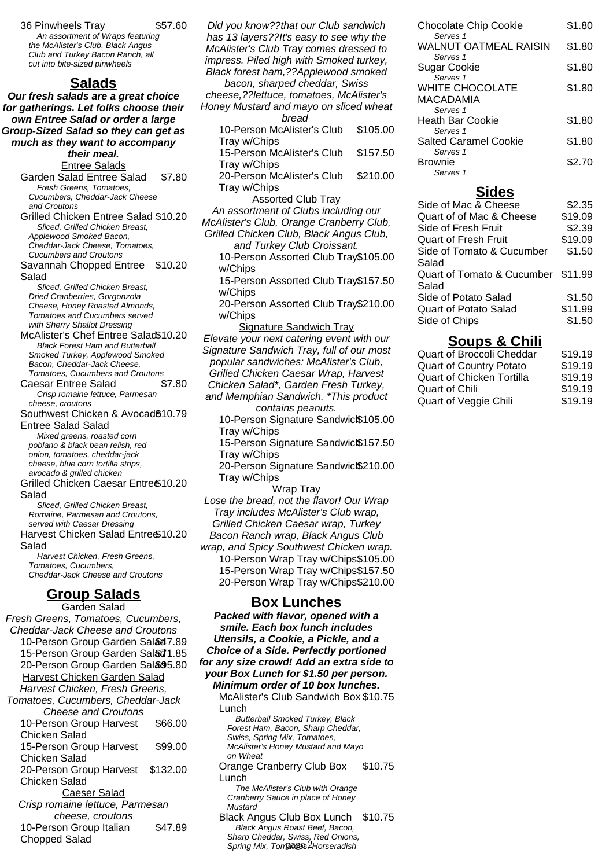36 Pinwheels Tray \$57.60 An assortment of Wraps featuring the McAlister's Club, Black Angus Club and Turkey Bacon Ranch, all cut into bite-sized pinwheels

#### **Salads**

**Our fresh salads are a great choice for gatherings. Let folks choose their own Entree Salad or order a large Group-Sized Salad so they can get as much as they want to accompany their meal.** Entree Salads

Garden Salad Entree Salad \$7.80 Fresh Greens, Tomatoes, Cucumbers, Cheddar-Jack Cheese and Croutons

Grilled Chicken Entree Salad \$10.20 Sliced, Grilled Chicken Breast, Applewood Smoked Bacon, Cheddar-Jack Cheese, Tomatoes,

Cucumbers and Croutons Savannah Chopped Entree \$10.20 Salad

Sliced, Grilled Chicken Breast, Dried Cranberries, Gorgonzola Cheese, Honey Roasted Almonds, Tomatoes and Cucumbers served with Sherry Shallot Dressing

McAlister's Chef Entree Salad\$10.20 Black Forest Ham and Butterball Smoked Turkey, Applewood Smoked Bacon, Cheddar-Jack Cheese, Tomatoes, Cucumbers and Croutons

Caesar Entree Salad \$7.80 Crisp romaine lettuce, Parmesan cheese, croutons

Southwest Chicken & Avocad\$10.79 Entree Salad Salad

Mixed greens, roasted corn poblano & black bean relish, red onion, tomatoes, cheddar-jack cheese, blue corn tortilla strips, avocado & grilled chicken

Grilled Chicken Caesar Entre \$10.20 Salad

Sliced, Grilled Chicken Breast, Romaine, Parmesan and Croutons, served with Caesar Dressing Harvest Chicken Salad Entre \$10.20

Salad Harvest Chicken, Fresh Greens, Tomatoes, Cucumbers, Cheddar-Jack Cheese and Croutons

## **Group Salads**

Garden Salad Fresh Greens, Tomatoes, Cucumbers, Cheddar-Jack Cheese and Croutons 10-Person Group Garden Sal&47.89 15-Person Group Garden Sal&71.85 20-Person Group Garden Sal& 95.80 Harvest Chicken Garden Salad Harvest Chicken, Fresh Greens, Tomatoes, Cucumbers, Cheddar-Jack Cheese and Croutons 10-Person Group Harvest Chicken Salad \$66.00 15-Person Group Harvest Chicken Salad \$99.00 20-Person Group Harvest Chicken Salad \$132.00 Caeser Salad Crisp romaine lettuce, Parmesan cheese, croutons 10-Person Group Italian Chopped Salad \$47.89

Did you know??that our Club sandwich has 13 layers??It's easy to see why the McAlister's Club Tray comes dressed to impress. Piled high with Smoked turkey, Black forest ham,??Applewood smoked bacon, sharped cheddar, Swiss cheese,??lettuce, tomatoes, McAlister's Honey Mustard and mayo on sliced wheat bread 10-Person McAlister's Club Tray w/Chips \$105.00 15-Person McAlister's Club Tray w/Chips \$157.50 20-Person McAlister's Club Tray w/Chips \$210.00 Assorted Club Tray An assortment of Clubs including our McAlister's Club, Orange Cranberry Club, Grilled Chicken Club, Black Angus Club, and Turkey Club Croissant. 10-Person Assorted Club Tray \$105.00 w/Chips 15-Person Assorted Club Tray \$157.50 w/Chips 20-Person Assorted Club Tray \$210.00 w/Chips Signature Sandwich Tray Elevate your next catering event with our Signature Sandwich Tray, full of our most popular sandwiches: McAlister's Club, Grilled Chicken Caesar Wrap, Harvest Chicken Salad\*, Garden Fresh Turkey, and Memphian Sandwich. \*This product contains peanuts. 10-Person Signature Sandwic $$105.00$ Tray w/Chips 15-Person Signature Sandwic $$157.50$ Tray w/Chips 20-Person Signature Sandwic $$210.00$ Tray w/Chips Wrap Tray Lose the bread, not the flavor! Our Wrap Tray includes McAlister's Club wrap, Grilled Chicken Caesar wrap, Turkey Bacon Ranch wrap, Black Angus Club wrap, and Spicy Southwest Chicken wrap. 10-Person Wrap Tray w/Chips\$105.00 15-Person Wrap Tray w/Chips\$157.50 20-Person Wrap Tray w/Chips\$210.00 **Box Lunches Packed with flavor, opened with a smile. Each box lunch includes Utensils, a Cookie, a Pickle, and a Choice of a Side. Perfectly portioned for any size crowd! Add an extra side to**

Cranberry Sauce in place of Honey **Mustard** Black Angus Club Box Lunch \$10.75 Black Angus Roast Beef, Bacon, Sharp Cheddar, Swiss, Red Onions, Spring Mix, Tomatoes, Horseradish

The McAlister's Club with Orange

\$10.75

**your Box Lunch for \$1.50 per person. Minimum order of 10 box lunches.** McAlister's Club Sandwich Box \$10.75

> Butterball Smoked Turkey, Black Forest Ham, Bacon, Sharp Cheddar, Swiss, Spring Mix, Tomatoes, McAlister's Honey Mustard and Mayo

Orange Cranberry Club Box

Lunch

Lunch

on Wheat

| <b>Chocolate Chip Cookie</b>                   | \$1.80 |
|------------------------------------------------|--------|
| Serves 1<br>WALNUT OATMEAL RAISIN              | \$1.80 |
| Serves 1                                       |        |
| Sugar Cookie<br>Serves <sub>1</sub>            | \$1.80 |
| <b>WHITE CHOCOLATE</b>                         | \$1.80 |
| MACADAMIA                                      |        |
| Serves <sub>1</sub>                            |        |
| <b>Heath Bar Cookie</b><br>Serves <sub>1</sub> | \$1.80 |
| <b>Salted Caramel Cookie</b>                   | \$1.80 |
| Serves <sub>1</sub>                            |        |
| <b>Brownie</b>                                 | \$2.70 |
| Serves <sub>1</sub>                            |        |

#### **Sides**

| Side of Mac & Cheese               | \$2.35  |
|------------------------------------|---------|
| Quart of of Mac & Cheese           | \$19.09 |
| Side of Fresh Fruit                | \$2.39  |
| <b>Quart of Fresh Fruit</b>        | \$19.09 |
| Side of Tomato & Cucumber          | \$1.50  |
| Salad                              |         |
| Quart of Tomato & Cucumber \$11.99 |         |
| Salad                              |         |
| Side of Potato Salad               | \$1.50  |
| <b>Quart of Potato Salad</b>       | \$11.99 |
| Side of Chips                      | \$1.50  |
|                                    |         |

#### **Soups & Chili**

| <b>Quart of Broccoli Cheddar</b> | \$19.19 |
|----------------------------------|---------|
| <b>Quart of Country Potato</b>   | \$19.19 |
| Quart of Chicken Tortilla        | \$19.19 |
| Quart of Chili                   | \$19.19 |
| Quart of Veggie Chili            | \$19.19 |
|                                  |         |